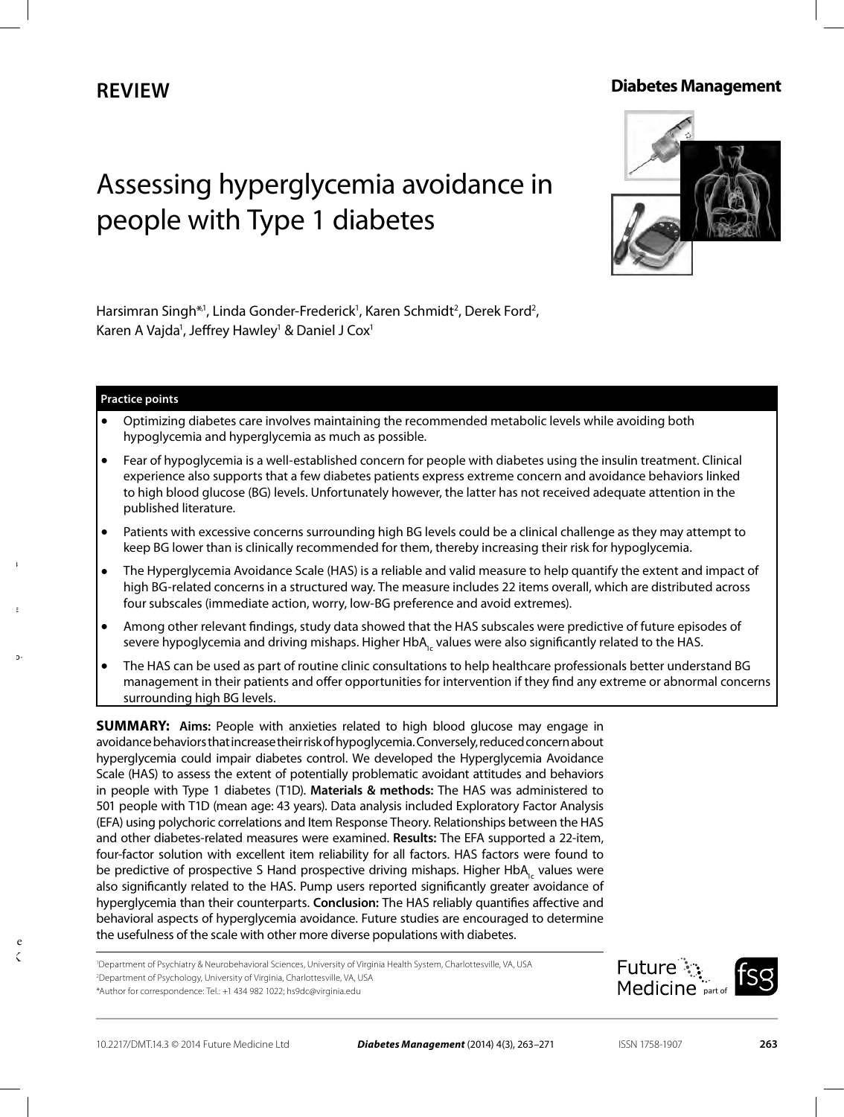# **Review**

# **Diabetes Management**

# Assessing hyperglycemia avoidance in people with Type 1 diabetes



Harsimran Singh\*1, Linda Gonder-Frederick<sup>1</sup>, Karen Schmidt<sup>2</sup>, Derek Ford<sup>2</sup>, Karen A Vajda<sup>1</sup>, Jeffrey Hawley<sup>1</sup> & Daniel J Cox<sup>1</sup>

#### **Practice points**

- Optimizing diabetes care involves maintaining the recommended metabolic levels while avoiding both hypoglycemia and hyperglycemia as much as possible.
- Fear of hypoglycemia is a well-established concern for people with diabetes using the insulin treatment. Clinical experience also supports that a few diabetes patients express extreme concern and avoidance behaviors linked to high blood glucose (BG) levels. Unfortunately however, the latter has not received adequate attention in the published literature.
- Patients with excessive concerns surrounding high BG levels could be a clinical challenge as they may attempt to keep BG lower than is clinically recommended for them, thereby increasing their risk for hypoglycemia.
- The Hyperglycemia Avoidance Scale (HAS) is a reliable and valid measure to help quantify the extent and impact of high BG-related concerns in a structured way. The measure includes 22 items overall, which are distributed across four subscales (immediate action, worry, low-BG preference and avoid extremes).
- Among other relevant findings, study data showed that the HAS subscales were predictive of future episodes of severe hypoglycemia and driving mishaps. Higher HbA<sub>1c</sub> values were also significantly related to the HAS.
- The HAS can be used as part of routine clinic consultations to help healthcare professionals better understand BG management in their patients and offer opportunities for intervention if they find any extreme or abnormal concerns surrounding high BG levels.

**SUMMARY:** Aims: People with anxieties related to high blood glucose may engage in avoidance behaviors that increase their risk of hypoglycemia. Conversely, reduced concern about hyperglycemia could impair diabetes control. We developed the Hyperglycemia Avoidance Scale (HAS) to assess the extent of potentially problematic avoidant attitudes and behaviors in people with Type 1 diabetes (T1D). **Materials & methods:** The HAS was administered to 501 people with T1D (mean age: 43 years). Data analysis included Exploratory Factor Analysis (EFA) using polychoric correlations and Item Response Theory. Relationships between the HAS and other diabetes-related measures were examined. **Results:** The EFA supported a 22-item, four-factor solution with excellent item reliability for all factors. HAS factors were found to be predictive of prospective S Hand prospective driving mishaps. Higher HbA<sub>1c</sub> values were also significantly related to the HAS. Pump users reported significantly greater avoidance of hyperglycemia than their counterparts. **Conclusion:** The HAS reliably quantifies affective and behavioral aspects of hyperglycemia avoidance. Future studies are encouraged to determine the usefulness of the scale with other more diverse populations with diabetes.

1 Department of Psychiatry & Neurobehavioral Sciences, University of Virginia Health System, Charlottesville, VA, USA 2 Department of Psychology, University of Virginia, Charlottesville, VA, USA \*Author for correspondence: Tel.: +1 434 982 1022; hs9dc@virginia.edu



**10.2217/DMT.14.3**

**© 2014 Future** 

**Assessing hyperglycemia avoid-**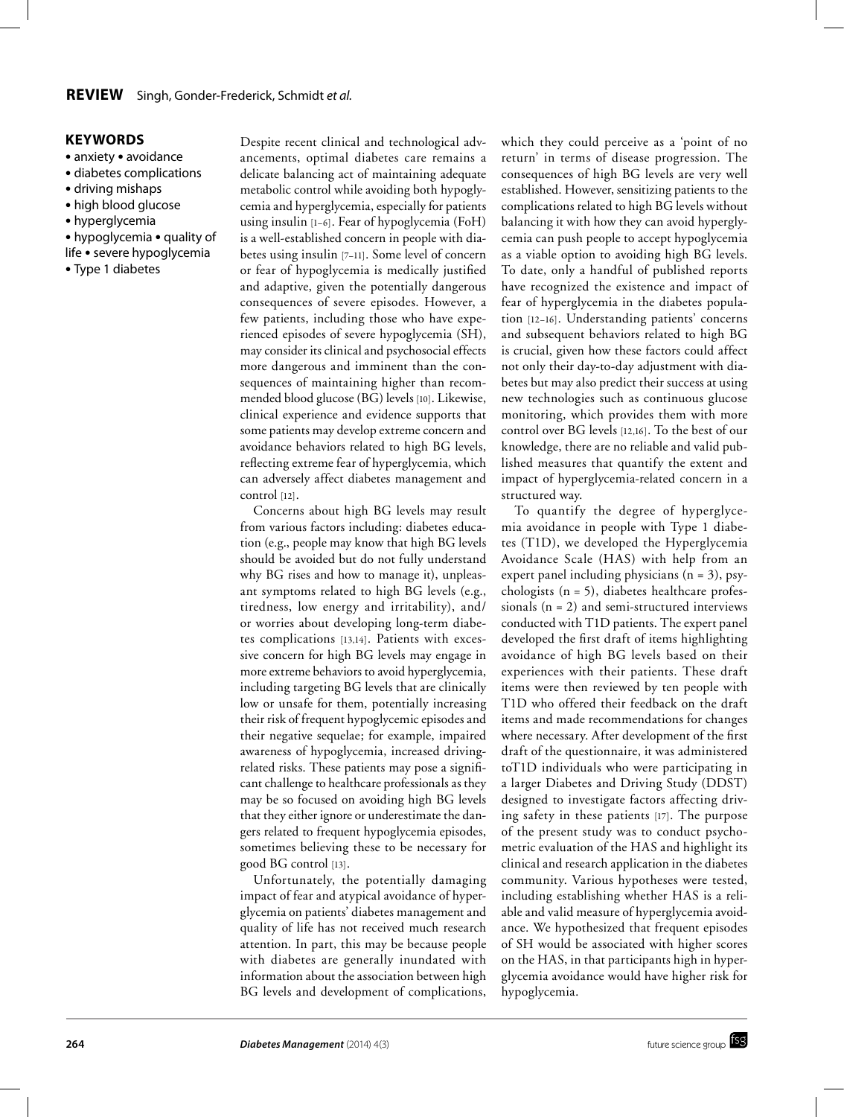#### **Keywords**

- anxiety avoidance
- diabetes complications
- driving mishaps
- high blood glucose
- hyperglycemia
- hypoglycemia quality of
- life severe hypoglycemia
- Type 1 diabetes

Despite recent clinical and technological advancements, optimal diabetes care remains a delicate balancing act of maintaining adequate metabolic control while avoiding both hypoglycemia and hyperglycemia, especially for patients using insulin [1–6]. Fear of hypoglycemia (FoH) is a well-established concern in people with diabetes using insulin [7–11]. Some level of concern or fear of hypoglycemia is medically justified and adaptive, given the potentially dangerous consequences of severe episodes. However, a few patients, including those who have experienced episodes of severe hypoglycemia (SH), may consider its clinical and psychosocial effects more dangerous and imminent than the consequences of maintaining higher than recommended blood glucose (BG) levels [10]. Likewise, clinical experience and evidence supports that some patients may develop extreme concern and avoidance behaviors related to high BG levels, reflecting extreme fear of hyperglycemia, which can adversely affect diabetes management and control [12].

Concerns about high BG levels may result from various factors including: diabetes education (e.g., people may know that high BG levels should be avoided but do not fully understand why BG rises and how to manage it), unpleasant symptoms related to high BG levels (e.g., tiredness, low energy and irritability), and/ or worries about developing long-term diabetes complications [13,14]. Patients with excessive concern for high BG levels may engage in more extreme behaviors to avoid hyperglycemia, including targeting BG levels that are clinically low or unsafe for them, potentially increasing their risk of frequent hypoglycemic episodes and their negative sequelae; for example, impaired awareness of hypoglycemia, increased drivingrelated risks. These patients may pose a significant challenge to healthcare professionals as they may be so focused on avoiding high BG levels that they either ignore or underestimate the dangers related to frequent hypoglycemia episodes, sometimes believing these to be necessary for good BG control [13].

Unfortunately, the potentially damaging impact of fear and atypical avoidance of hyperglycemia on patients' diabetes management and quality of life has not received much research attention. In part, this may be because people with diabetes are generally inundated with information about the association between high BG levels and development of complications,

which they could perceive as a 'point of no return' in terms of disease progression. The consequences of high BG levels are very well established. However, sensitizing patients to the complications related to high BG levels without balancing it with how they can avoid hyperglycemia can push people to accept hypoglycemia as a viable option to avoiding high BG levels. To date, only a handful of published reports have recognized the existence and impact of fear of hyperglycemia in the diabetes population [12–16]. Understanding patients' concerns and subsequent behaviors related to high BG is crucial, given how these factors could affect not only their day-to-day adjustment with diabetes but may also predict their success at using new technologies such as continuous glucose monitoring, which provides them with more control over BG levels [12,16]. To the best of our knowledge, there are no reliable and valid published measures that quantify the extent and impact of hyperglycemia-related concern in a structured way.

To quantify the degree of hyperglycemia avoidance in people with Type 1 diabetes (T1D), we developed the Hyperglycemia Avoidance Scale (HAS) with help from an expert panel including physicians  $(n = 3)$ , psychologists (n = 5), diabetes healthcare professionals  $(n = 2)$  and semi-structured interviews conducted with T1D patients. The expert panel developed the first draft of items highlighting avoidance of high BG levels based on their experiences with their patients. These draft items were then reviewed by ten people with T1D who offered their feedback on the draft items and made recommendations for changes where necessary. After development of the first draft of the questionnaire, it was administered toT1D individuals who were participating in a larger Diabetes and Driving Study (DDST) designed to investigate factors affecting driving safety in these patients [17]. The purpose of the present study was to conduct psychometric evaluation of the HAS and highlight its clinical and research application in the diabetes community. Various hypotheses were tested, including establishing whether HAS is a reliable and valid measure of hyperglycemia avoidance. We hypothesized that frequent episodes of SH would be associated with higher scores on the HAS, in that participants high in hyperglycemia avoidance would have higher risk for hypoglycemia.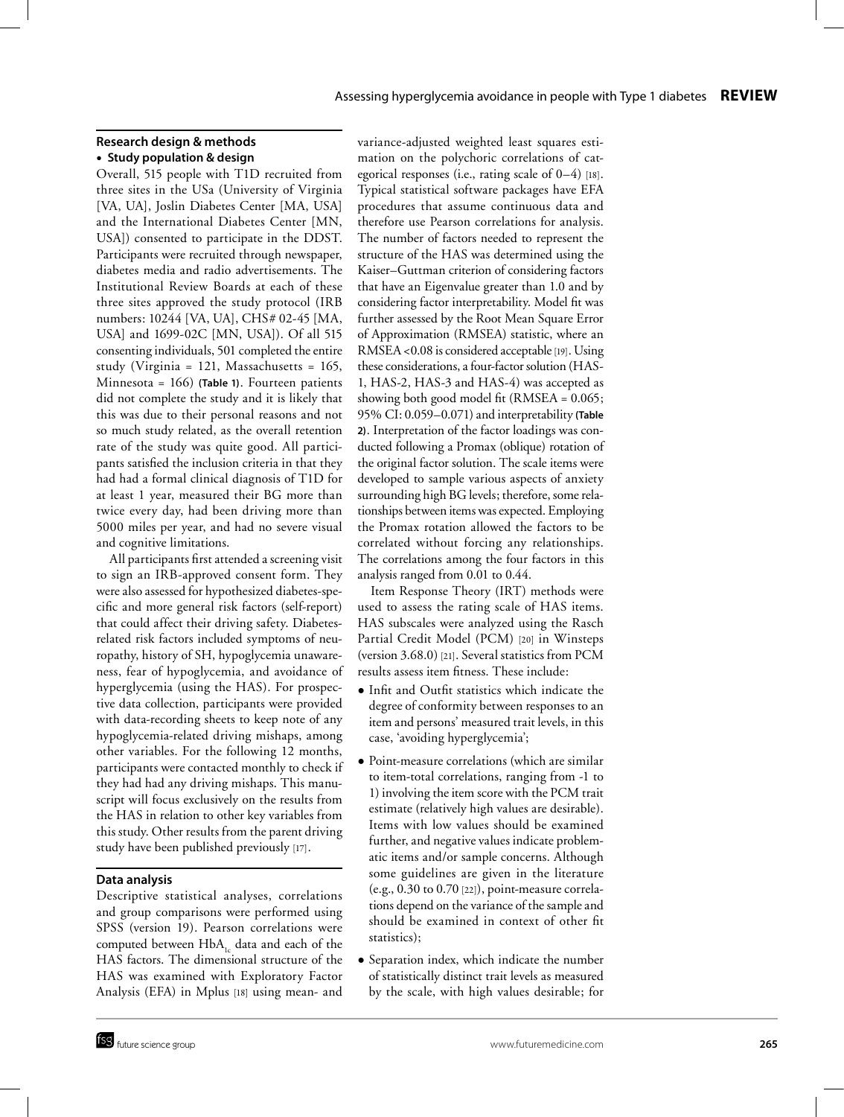## **Research design & methods** ● **Study population & design**

Overall, 515 people with T1D recruited from three sites in the USa (University of Virginia [VA, UA], Joslin Diabetes Center [MA, USA] and the International Diabetes Center [MN, USA]) consented to participate in the DDST. Participants were recruited through newspaper, diabetes media and radio advertisements. The Institutional Review Boards at each of these three sites approved the study protocol (IRB numbers: 10244 [VA, UA], CHS# 02-45 [MA, USA] and 1699-02C [MN, USA]). Of all 515 consenting individuals, 501 completed the entire study (Virginia = 121, Massachusetts = 165, Minnesota = 166) **(Table 1)**. Fourteen patients did not complete the study and it is likely that this was due to their personal reasons and not so much study related, as the overall retention rate of the study was quite good. All participants satisfied the inclusion criteria in that they had had a formal clinical diagnosis of T1D for at least 1 year, measured their BG more than twice every day, had been driving more than 5000 miles per year, and had no severe visual and cognitive limitations.

All participants first attended a screening visit to sign an IRB-approved consent form. They were also assessed for hypothesized diabetes-specific and more general risk factors (self-report) that could affect their driving safety. Diabetesrelated risk factors included symptoms of neuropathy, history of SH, hypoglycemia unawareness, fear of hypoglycemia, and avoidance of hyperglycemia (using the HAS). For prospective data collection, participants were provided with data-recording sheets to keep note of any hypoglycemia-related driving mishaps, among other variables. For the following 12 months, participants were contacted monthly to check if they had had any driving mishaps. This manuscript will focus exclusively on the results from the HAS in relation to other key variables from this study. Other results from the parent driving study have been published previously [17].

## **Data analysis**

Descriptive statistical analyses, correlations and group comparisons were performed using SPSS (version 19). Pearson correlations were computed between  $HbA_{1c}$  data and each of the HAS factors. The dimensional structure of the HAS was examined with Exploratory Factor Analysis (EFA) in Mplus [18] using mean- and variance-adjusted weighted least squares estimation on the polychoric correlations of categorical responses (i.e., rating scale of  $0-4$ ) [18]. Typical statistical software packages have EFA procedures that assume continuous data and therefore use Pearson correlations for analysis. The number of factors needed to represent the structure of the HAS was determined using the Kaiser–Guttman criterion of considering factors that have an Eigenvalue greater than 1.0 and by considering factor interpretability. Model fit was further assessed by the Root Mean Square Error of Approximation (RMSEA) statistic, where an RMSEA <0.08 is considered acceptable [19]. Using these considerations, a four-factor solution (HAS-1, HAS-2, HAS-3 and HAS-4) was accepted as showing both good model fit (RMSEA = 0.065; 95% CI: 0.059–0.071) and interpretability **(Table 2)**. Interpretation of the factor loadings was conducted following a Promax (oblique) rotation of the original factor solution. The scale items were developed to sample various aspects of anxiety surrounding high BG levels; therefore, some relationships between items was expected. Employing the Promax rotation allowed the factors to be correlated without forcing any relationships. The correlations among the four factors in this analysis ranged from 0.01 to 0.44.

Item Response Theory (IRT) methods were used to assess the rating scale of HAS items. HAS subscales were analyzed using the Rasch Partial Credit Model (PCM) [20] in Winsteps (version 3.68.0) [21]. Several statistics from PCM results assess item fitness. These include:

- Infit and Outfit statistics which indicate the degree of conformity between responses to an item and persons' measured trait levels, in this case, 'avoiding hyperglycemia';
- Point-measure correlations (which are similar to item-total correlations, ranging from -1 to 1) involving the item score with the PCM trait estimate (relatively high values are desirable). Items with low values should be examined further, and negative values indicate problematic items and/or sample concerns. Although some guidelines are given in the literature (e.g., 0.30 to 0.70 [22]), point-measure correlations depend on the variance of the sample and should be examined in context of other fit statistics);
- Separation index, which indicate the number of statistically distinct trait levels as measured by the scale, with high values desirable; for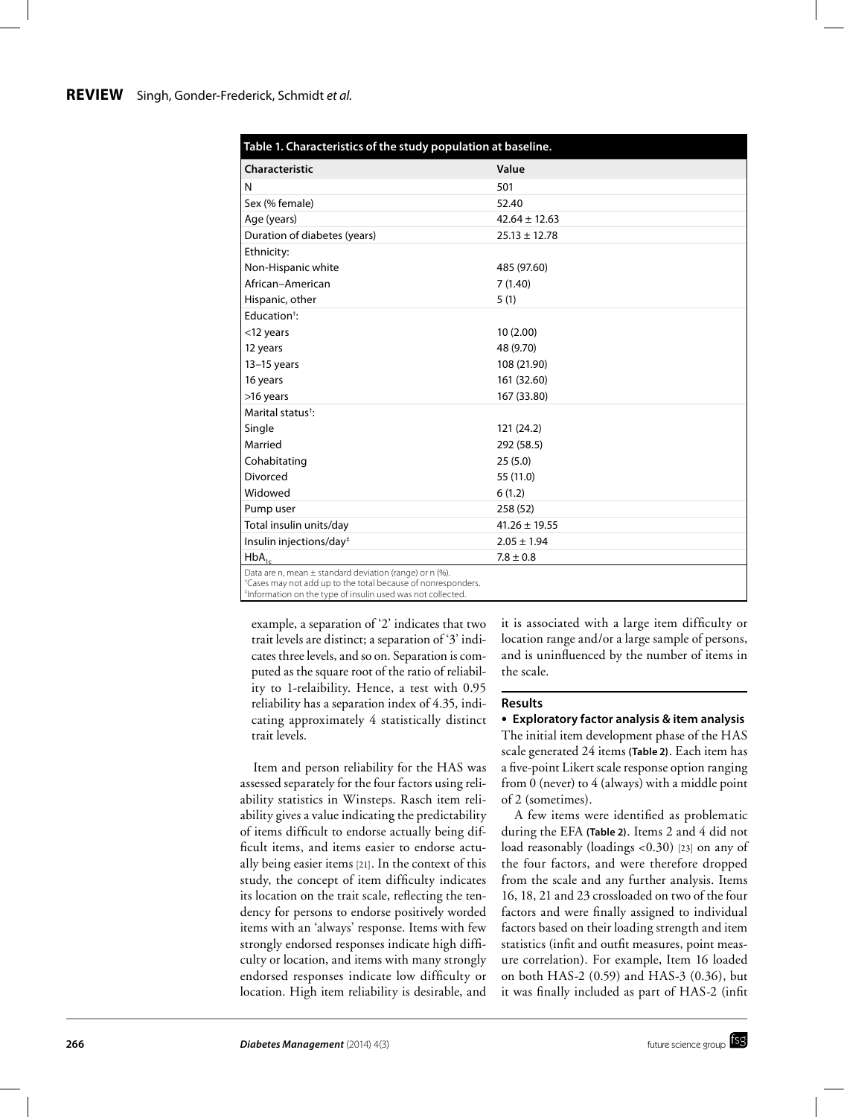#### **Review** Singh, Gonder-Frederick, Schmidt *et al.*

| Table 1. Characteristics of the study population at baseline.                                                                       |                   |  |  |  |  |  |
|-------------------------------------------------------------------------------------------------------------------------------------|-------------------|--|--|--|--|--|
| Characteristic                                                                                                                      | Value             |  |  |  |  |  |
| N                                                                                                                                   | 501               |  |  |  |  |  |
| Sex (% female)                                                                                                                      | 52.40             |  |  |  |  |  |
| Age (years)                                                                                                                         | $42.64 \pm 12.63$ |  |  |  |  |  |
| Duration of diabetes (years)                                                                                                        | $25.13 \pm 12.78$ |  |  |  |  |  |
| Ethnicity:                                                                                                                          |                   |  |  |  |  |  |
| Non-Hispanic white                                                                                                                  | 485 (97.60)       |  |  |  |  |  |
| African-American                                                                                                                    | 7(1.40)           |  |  |  |  |  |
| Hispanic, other                                                                                                                     | 5(1)              |  |  |  |  |  |
| Education <sup>+</sup> :                                                                                                            |                   |  |  |  |  |  |
| <12 years                                                                                                                           | 10(2.00)          |  |  |  |  |  |
| 12 years                                                                                                                            | 48 (9.70)         |  |  |  |  |  |
| $13-15$ years                                                                                                                       | 108 (21.90)       |  |  |  |  |  |
| 16 years                                                                                                                            | 161 (32.60)       |  |  |  |  |  |
| >16 years                                                                                                                           | 167 (33.80)       |  |  |  |  |  |
| Marital status <sup>†</sup> :                                                                                                       |                   |  |  |  |  |  |
| Single                                                                                                                              | 121 (24.2)        |  |  |  |  |  |
| Married                                                                                                                             | 292 (58.5)        |  |  |  |  |  |
| Cohabitating                                                                                                                        | 25(5.0)           |  |  |  |  |  |
| Divorced                                                                                                                            | 55 (11.0)         |  |  |  |  |  |
| Widowed                                                                                                                             | 6(1.2)            |  |  |  |  |  |
| Pump user                                                                                                                           | 258 (52)          |  |  |  |  |  |
| Total insulin units/day                                                                                                             | $41.26 \pm 19.55$ |  |  |  |  |  |
| Insulin injections/day <sup>#</sup>                                                                                                 | $2.05 \pm 1.94$   |  |  |  |  |  |
| $HbA_{1c}$                                                                                                                          | $7.8 \pm 0.8$     |  |  |  |  |  |
| Data are n, mean ± standard deviation (range) or n (%).<br><sup>+</sup> Cases may not add up to the total because of nonresponders. |                   |  |  |  |  |  |

‡ Information on the type of insulin used was not collected.

example, a separation of '2' indicates that two trait levels are distinct; a separation of '3' indicates three levels, and so on. Separation is computed as the square root of the ratio of reliability to 1-relaibility. Hence, a test with 0.95 reliability has a separation index of 4.35, indicating approximately 4 statistically distinct trait levels.

Item and person reliability for the HAS was assessed separately for the four factors using reliability statistics in Winsteps. Rasch item reliability gives a value indicating the predictability of items difficult to endorse actually being difficult items, and items easier to endorse actually being easier items [21]. In the context of this study, the concept of item difficulty indicates its location on the trait scale, reflecting the tendency for persons to endorse positively worded items with an 'always' response. Items with few strongly endorsed responses indicate high difficulty or location, and items with many strongly endorsed responses indicate low difficulty or location. High item reliability is desirable, and it is associated with a large item difficulty or location range and/or a large sample of persons, and is uninfluenced by the number of items in the scale.

#### **Results**

● **Exploratory factor analysis & item analysis** The initial item development phase of the HAS scale generated 24 items **(Table 2)**. Each item has a five-point Likert scale response option ranging from 0 (never) to 4 (always) with a middle point of 2 (sometimes).

A few items were identified as problematic during the EFA **(Table 2)**. Items 2 and 4 did not load reasonably (loadings <0.30) [23] on any of the four factors, and were therefore dropped from the scale and any further analysis. Items 16, 18, 21 and 23 crossloaded on two of the four factors and were finally assigned to individual factors based on their loading strength and item statistics (infit and outfit measures, point measure correlation). For example, Item 16 loaded on both HAS-2 (0.59) and HAS-3 (0.36), but it was finally included as part of HAS-2 (infit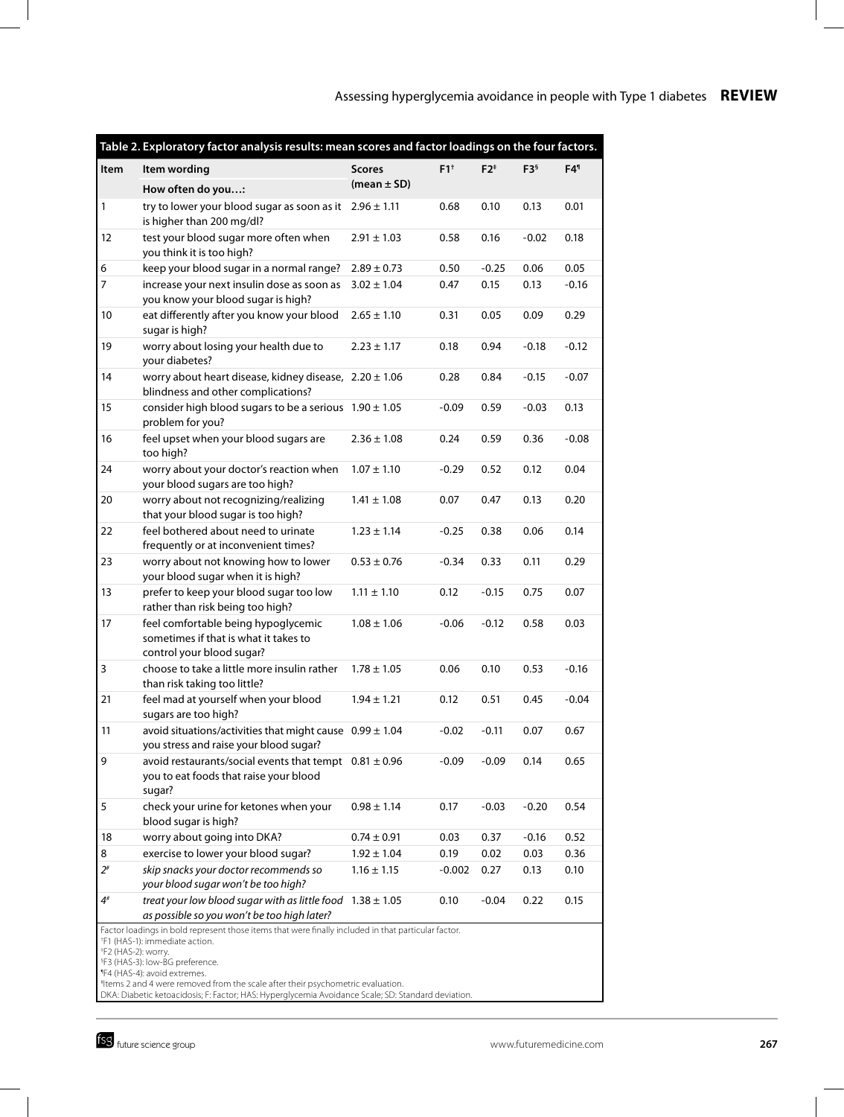| Table 2. Exploratory factor analysis results: mean scores and factor loadings on the four factors.                                                                                                                                                                                                                                                                                                                                                                       |                                                                                                                |                                  |          |         |                 |                 |  |  |  |
|--------------------------------------------------------------------------------------------------------------------------------------------------------------------------------------------------------------------------------------------------------------------------------------------------------------------------------------------------------------------------------------------------------------------------------------------------------------------------|----------------------------------------------------------------------------------------------------------------|----------------------------------|----------|---------|-----------------|-----------------|--|--|--|
| Item                                                                                                                                                                                                                                                                                                                                                                                                                                                                     | Item wording                                                                                                   | <b>Scores</b><br>(mean $\pm$ SD) | $F1^+$   | $F2^*$  | F3 <sup>6</sup> | F4 <sup>1</sup> |  |  |  |
|                                                                                                                                                                                                                                                                                                                                                                                                                                                                          | How often do you:                                                                                              |                                  |          |         |                 |                 |  |  |  |
| 1                                                                                                                                                                                                                                                                                                                                                                                                                                                                        | try to lower your blood sugar as soon as it $2.96 \pm 1.11$<br>is higher than 200 mg/dl?                       |                                  | 0.68     | 0.10    | 0.13            | 0.01            |  |  |  |
| 12                                                                                                                                                                                                                                                                                                                                                                                                                                                                       | test your blood sugar more often when<br>you think it is too high?                                             | $2.91 \pm 1.03$                  | 0.58     | 0.16    | $-0.02$         | 0.18            |  |  |  |
| 6                                                                                                                                                                                                                                                                                                                                                                                                                                                                        | keep your blood sugar in a normal range?                                                                       | $2.89 \pm 0.73$                  | 0.50     | $-0.25$ | 0.06            | 0.05            |  |  |  |
| 7                                                                                                                                                                                                                                                                                                                                                                                                                                                                        | increase your next insulin dose as soon as<br>you know your blood sugar is high?                               | $3.02 \pm 1.04$                  | 0.47     | 0.15    | 0.13            | $-0.16$         |  |  |  |
| 10                                                                                                                                                                                                                                                                                                                                                                                                                                                                       | eat differently after you know your blood<br>sugar is high?                                                    | $2.65 \pm 1.10$                  | 0.31     | 0.05    | 0.09            | 0.29            |  |  |  |
| 19                                                                                                                                                                                                                                                                                                                                                                                                                                                                       | worry about losing your health due to<br>your diabetes?                                                        | $2.23 \pm 1.17$                  | 0.18     | 0.94    | $-0.18$         | $-0.12$         |  |  |  |
| 14                                                                                                                                                                                                                                                                                                                                                                                                                                                                       | worry about heart disease, kidney disease, $2.20 \pm 1.06$<br>blindness and other complications?               |                                  | 0.28     | 0.84    | $-0.15$         | $-0.07$         |  |  |  |
| 15                                                                                                                                                                                                                                                                                                                                                                                                                                                                       | consider high blood sugars to be a serious $1.90 \pm 1.05$<br>problem for you?                                 |                                  | $-0.09$  | 0.59    | $-0.03$         | 0.13            |  |  |  |
| 16                                                                                                                                                                                                                                                                                                                                                                                                                                                                       | feel upset when your blood sugars are<br>too high?                                                             | $2.36 \pm 1.08$                  | 0.24     | 0.59    | 0.36            | $-0.08$         |  |  |  |
| 24                                                                                                                                                                                                                                                                                                                                                                                                                                                                       | worry about your doctor's reaction when<br>your blood sugars are too high?                                     | $1.07 \pm 1.10$                  | $-0.29$  | 0.52    | 0.12            | 0.04            |  |  |  |
| 20                                                                                                                                                                                                                                                                                                                                                                                                                                                                       | worry about not recognizing/realizing<br>that your blood sugar is too high?                                    | $1.41 \pm 1.08$                  | 0.07     | 0.47    | 0.13            | 0.20            |  |  |  |
| 22                                                                                                                                                                                                                                                                                                                                                                                                                                                                       | feel bothered about need to urinate<br>frequently or at inconvenient times?                                    | $1.23 \pm 1.14$                  | $-0.25$  | 0.38    | 0.06            | 0.14            |  |  |  |
| 23                                                                                                                                                                                                                                                                                                                                                                                                                                                                       | worry about not knowing how to lower<br>your blood sugar when it is high?                                      | $0.53 \pm 0.76$                  | $-0.34$  | 0.33    | 0.11            | 0.29            |  |  |  |
| 13                                                                                                                                                                                                                                                                                                                                                                                                                                                                       | prefer to keep your blood sugar too low<br>rather than risk being too high?                                    | $1.11 \pm 1.10$                  | 0.12     | $-0.15$ | 0.75            | 0.07            |  |  |  |
| 17                                                                                                                                                                                                                                                                                                                                                                                                                                                                       | feel comfortable being hypoglycemic<br>sometimes if that is what it takes to<br>control your blood sugar?      | $1.08 \pm 1.06$                  | $-0.06$  | $-0.12$ | 0.58            | 0.03            |  |  |  |
| 3                                                                                                                                                                                                                                                                                                                                                                                                                                                                        | choose to take a little more insulin rather<br>than risk taking too little?                                    | $1.78 \pm 1.05$                  | 0.06     | 0.10    | 0.53            | $-0.16$         |  |  |  |
| 21                                                                                                                                                                                                                                                                                                                                                                                                                                                                       | feel mad at yourself when your blood<br>sugars are too high?                                                   | $1.94 \pm 1.21$                  | 0.12     | 0.51    | 0.45            | $-0.04$         |  |  |  |
| 11                                                                                                                                                                                                                                                                                                                                                                                                                                                                       | avoid situations/activities that might cause $0.99 \pm 1.04$<br>you stress and raise your blood sugar?         |                                  | $-0.02$  | $-0.11$ | 0.07            | 0.67            |  |  |  |
| 9                                                                                                                                                                                                                                                                                                                                                                                                                                                                        | avoid restaurants/social events that tempt $0.81 \pm 0.96$<br>you to eat foods that raise your blood<br>sugar? |                                  | $-0.09$  | $-0.09$ | 0.14            | 0.65            |  |  |  |
| 5                                                                                                                                                                                                                                                                                                                                                                                                                                                                        | check your urine for ketones when your<br>blood sugar is high?                                                 | $0.98 \pm 1.14$                  | 0.17     | $-0.03$ | $-0.20$         | 0.54            |  |  |  |
| 18                                                                                                                                                                                                                                                                                                                                                                                                                                                                       | worry about going into DKA?                                                                                    | $0.74 \pm 0.91$                  | 0.03     | 0.37    | $-0.16$         | 0.52            |  |  |  |
| 8                                                                                                                                                                                                                                                                                                                                                                                                                                                                        | exercise to lower your blood sugar?                                                                            | $1.92 \pm 1.04$                  | 0.19     | 0.02    | 0.03            | 0.36            |  |  |  |
| $2^{\#}$                                                                                                                                                                                                                                                                                                                                                                                                                                                                 | skip snacks your doctor recommends so<br>your blood sugar won't be too high?                                   | $1.16 \pm 1.15$                  | $-0.002$ | 0.27    | 0.13            | 0.10            |  |  |  |
| 4#                                                                                                                                                                                                                                                                                                                                                                                                                                                                       | treat your low blood sugar with as little food $1.38 \pm 1.05$<br>as possible so you won't be too high later?  |                                  | 0.10     | $-0.04$ | 0.22            | 0.15            |  |  |  |
| Factor loadings in bold represent those items that were finally included in that particular factor.<br><sup>†</sup> F1 (HAS-1): immediate action.<br><sup>‡</sup> F2 (HAS-2): worry.<br><sup>§</sup> F3 (HAS-3): low-BG preference.<br><sup>1</sup> F4 (HAS-4): avoid extremes.<br>"Items 2 and 4 were removed from the scale after their psychometric evaluation.<br>DKA: Diabetic ketoacidosis; F: Factor; HAS: Hyperglycemia Avoidance Scale; SD: Standard deviation. |                                                                                                                |                                  |          |         |                 |                 |  |  |  |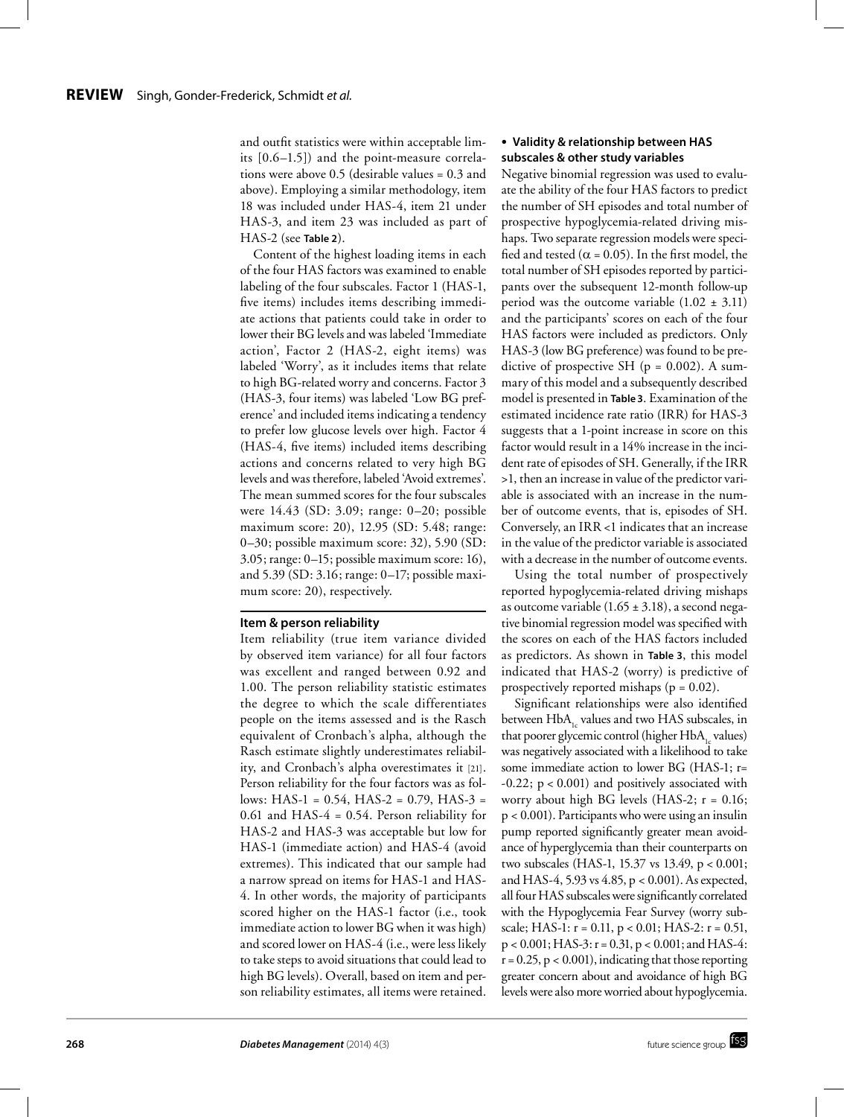and outfit statistics were within acceptable limits [0.6–1.5]) and the point-measure correlations were above 0.5 (desirable values = 0.3 and above). Employing a similar methodology, item 18 was included under HAS-4, item 21 under HAS-3, and item 23 was included as part of HAS-2 (see **Table 2**).

Content of the highest loading items in each of the four HAS factors was examined to enable labeling of the four subscales. Factor 1 (HAS-1, five items) includes items describing immediate actions that patients could take in order to lower their BG levels and was labeled 'Immediate action', Factor 2 (HAS-2, eight items) was labeled 'Worry', as it includes items that relate to high BG-related worry and concerns. Factor 3 (HAS-3, four items) was labeled 'Low BG preference' and included items indicating a tendency to prefer low glucose levels over high. Factor 4 (HAS-4, five items) included items describing actions and concerns related to very high BG levels and was therefore, labeled 'Avoid extremes'. The mean summed scores for the four subscales were 14.43 (SD: 3.09; range: 0–20; possible maximum score: 20), 12.95 (SD: 5.48; range: 0–30; possible maximum score: 32), 5.90 (SD: 3.05; range: 0–15; possible maximum score: 16), and 5.39 (SD: 3.16; range: 0–17; possible maximum score: 20), respectively.

### **Item & person reliability**

Item reliability (true item variance divided by observed item variance) for all four factors was excellent and ranged between 0.92 and 1.00. The person reliability statistic estimates the degree to which the scale differentiates people on the items assessed and is the Rasch equivalent of Cronbach's alpha, although the Rasch estimate slightly underestimates reliability, and Cronbach's alpha overestimates it [21]. Person reliability for the four factors was as follows: HAS-1 =  $0.54$ , HAS-2 =  $0.79$ , HAS-3 = 0.61 and HAS-4 = 0.54. Person reliability for HAS-2 and HAS-3 was acceptable but low for HAS-1 (immediate action) and HAS-4 (avoid extremes). This indicated that our sample had a narrow spread on items for HAS-1 and HAS-4. In other words, the majority of participants scored higher on the HAS-1 factor (i.e., took immediate action to lower BG when it was high) and scored lower on HAS-4 (i.e., were less likely to take steps to avoid situations that could lead to high BG levels). Overall, based on item and person reliability estimates, all items were retained.

## ● **Validity & relationship between HAS subscales & other study variables**

Negative binomial regression was used to evaluate the ability of the four HAS factors to predict the number of SH episodes and total number of prospective hypoglycemia-related driving mishaps. Two separate regression models were specified and tested ( $\alpha$  = 0.05). In the first model, the total number of SH episodes reported by participants over the subsequent 12-month follow-up period was the outcome variable  $(1.02 \pm 3.11)$ and the participants' scores on each of the four HAS factors were included as predictors. Only HAS-3 (low BG preference) was found to be predictive of prospective SH ( $p = 0.002$ ). A summary of this model and a subsequently described model is presented in **Table 3**. Examination of the estimated incidence rate ratio (IRR) for HAS-3 suggests that a 1-point increase in score on this factor would result in a 14% increase in the incident rate of episodes of SH. Generally, if the IRR >1, then an increase in value of the predictor variable is associated with an increase in the number of outcome events, that is, episodes of SH. Conversely, an IRR <1 indicates that an increase in the value of the predictor variable is associated with a decrease in the number of outcome events.

Using the total number of prospectively reported hypoglycemia-related driving mishaps as outcome variable  $(1.65 \pm 3.18)$ , a second negative binomial regression model was specified with the scores on each of the HAS factors included as predictors. As shown in **Table 3**, this model indicated that HAS-2 (worry) is predictive of prospectively reported mishaps ( $p = 0.02$ ).

Significant relationships were also identified between HbA<sub>1c</sub> values and two HAS subscales, in that poorer glycemic control (higher  $HbA<sub>1c</sub>$  values) was negatively associated with a likelihood to take some immediate action to lower BG (HAS-1; r=  $-0.22$ ;  $p < 0.001$ ) and positively associated with worry about high BG levels (HAS-2; r = 0.16; p < 0.001). Participants who were using an insulin pump reported significantly greater mean avoidance of hyperglycemia than their counterparts on two subscales (HAS-1, 15.37 vs 13.49, p < 0.001; and HAS-4, 5.93 vs 4.85, p < 0.001). As expected, all four HAS subscales were significantly correlated with the Hypoglycemia Fear Survey (worry subscale; HAS-1:  $r = 0.11$ ,  $p < 0.01$ ; HAS-2:  $r = 0.51$ , p < 0.001; HAS-3: r = 0.31, p < 0.001; and HAS-4:  $r = 0.25$ ,  $p < 0.001$ ), indicating that those reporting greater concern about and avoidance of high BG levels were also more worried about hypoglycemia.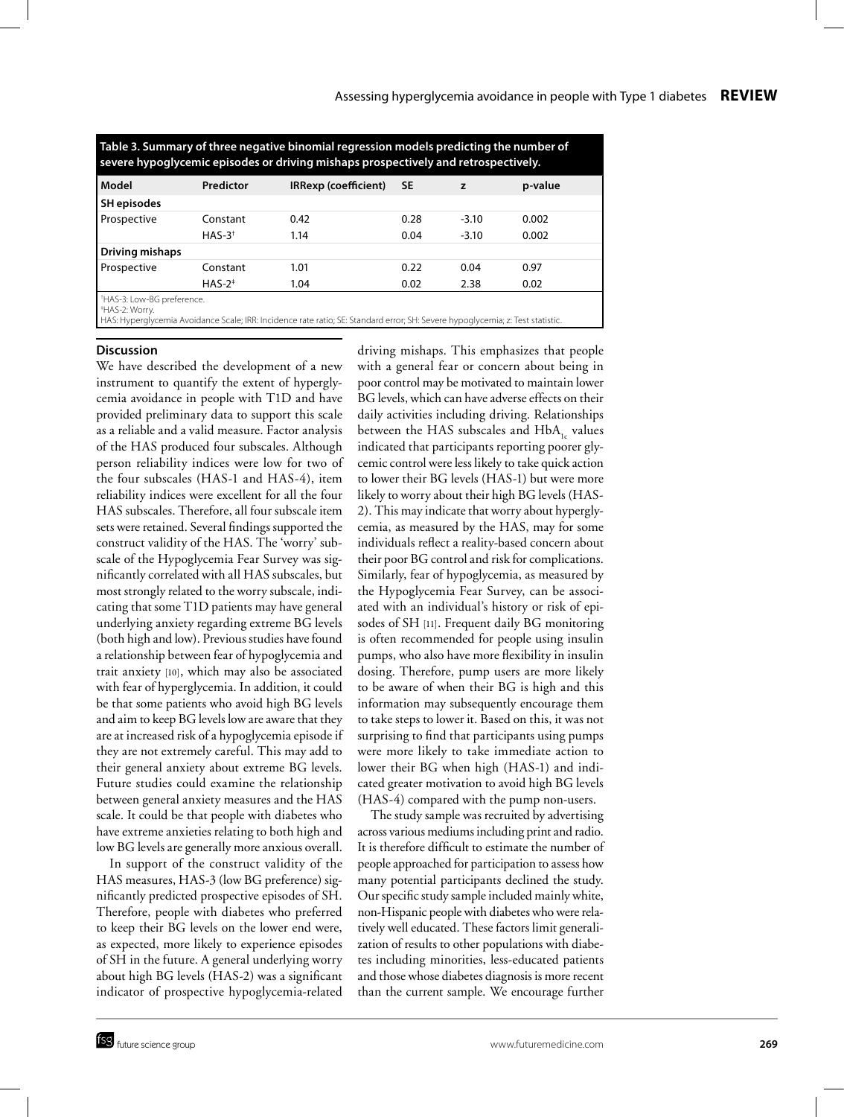| Table 3. Summary of three negative binomial regression models predicting the number of<br>severe hypoglycemic episodes or driving mishaps prospectively and retrospectively. |           |                                                                                                                                |           |         |         |  |  |  |  |
|------------------------------------------------------------------------------------------------------------------------------------------------------------------------------|-----------|--------------------------------------------------------------------------------------------------------------------------------|-----------|---------|---------|--|--|--|--|
| Model                                                                                                                                                                        | Predictor | <b>IRRexp (coefficient)</b>                                                                                                    | <b>SE</b> | z       | p-value |  |  |  |  |
| SH episodes                                                                                                                                                                  |           |                                                                                                                                |           |         |         |  |  |  |  |
| Prospective                                                                                                                                                                  | Constant  | 0.42                                                                                                                           | 0.28      | $-3.10$ | 0.002   |  |  |  |  |
|                                                                                                                                                                              | $HAS-3^+$ | 1.14                                                                                                                           | 0.04      | $-3.10$ | 0.002   |  |  |  |  |
| Driving mishaps                                                                                                                                                              |           |                                                                                                                                |           |         |         |  |  |  |  |
| Prospective                                                                                                                                                                  | Constant  | 1.01                                                                                                                           | 0.22      | 0.04    | 0.97    |  |  |  |  |
|                                                                                                                                                                              | $HAS-2^+$ | 1.04                                                                                                                           | 0.02      | 2.38    | 0.02    |  |  |  |  |
| <sup>+</sup> HAS-3: Low-BG preference.<br>*HAS-2: Worry.                                                                                                                     |           | HAS: Hyperglycemia Avoidance Scale; IRR: Incidence rate ratio; SE: Standard error; SH: Severe hypoglycemia; z: Test statistic. |           |         |         |  |  |  |  |

**Discussion**

We have described the development of a new instrument to quantify the extent of hyperglycemia avoidance in people with T1D and have provided preliminary data to support this scale as a reliable and a valid measure. Factor analysis of the HAS produced four subscales. Although person reliability indices were low for two of the four subscales (HAS-1 and HAS-4), item reliability indices were excellent for all the four HAS subscales. Therefore, all four subscale item sets were retained. Several findings supported the construct validity of the HAS. The 'worry' subscale of the Hypoglycemia Fear Survey was significantly correlated with all HAS subscales, but most strongly related to the worry subscale, indicating that some T1D patients may have general underlying anxiety regarding extreme BG levels (both high and low). Previous studies have found a relationship between fear of hypoglycemia and trait anxiety [10], which may also be associated with fear of hyperglycemia. In addition, it could be that some patients who avoid high BG levels and aim to keep BG levels low are aware that they are at increased risk of a hypoglycemia episode if they are not extremely careful. This may add to their general anxiety about extreme BG levels. Future studies could examine the relationship between general anxiety measures and the HAS scale. It could be that people with diabetes who have extreme anxieties relating to both high and low BG levels are generally more anxious overall.

In support of the construct validity of the HAS measures, HAS-3 (low BG preference) significantly predicted prospective episodes of SH. Therefore, people with diabetes who preferred to keep their BG levels on the lower end were, as expected, more likely to experience episodes of SH in the future. A general underlying worry about high BG levels (HAS-2) was a significant indicator of prospective hypoglycemia-related driving mishaps. This emphasizes that people with a general fear or concern about being in poor control may be motivated to maintain lower BG levels, which can have adverse effects on their daily activities including driving. Relationships between the HAS subscales and HbA, values indicated that participants reporting poorer glycemic control were less likely to take quick action to lower their BG levels (HAS-1) but were more likely to worry about their high BG levels (HAS-2). This may indicate that worry about hyperglycemia, as measured by the HAS, may for some individuals reflect a reality-based concern about their poor BG control and risk for complications. Similarly, fear of hypoglycemia, as measured by the Hypoglycemia Fear Survey, can be associated with an individual's history or risk of episodes of SH [11]. Frequent daily BG monitoring is often recommended for people using insulin pumps, who also have more flexibility in insulin dosing. Therefore, pump users are more likely to be aware of when their BG is high and this information may subsequently encourage them to take steps to lower it. Based on this, it was not surprising to find that participants using pumps were more likely to take immediate action to lower their BG when high (HAS-1) and indicated greater motivation to avoid high BG levels (HAS-4) compared with the pump non-users.

The study sample was recruited by advertising across various mediums including print and radio. It is therefore difficult to estimate the number of people approached for participation to assess how many potential participants declined the study. Our specific study sample included mainly white, non-Hispanic people with diabetes who were relatively well educated. These factors limit generalization of results to other populations with diabetes including minorities, less-educated patients and those whose diabetes diagnosis is more recent than the current sample. We encourage further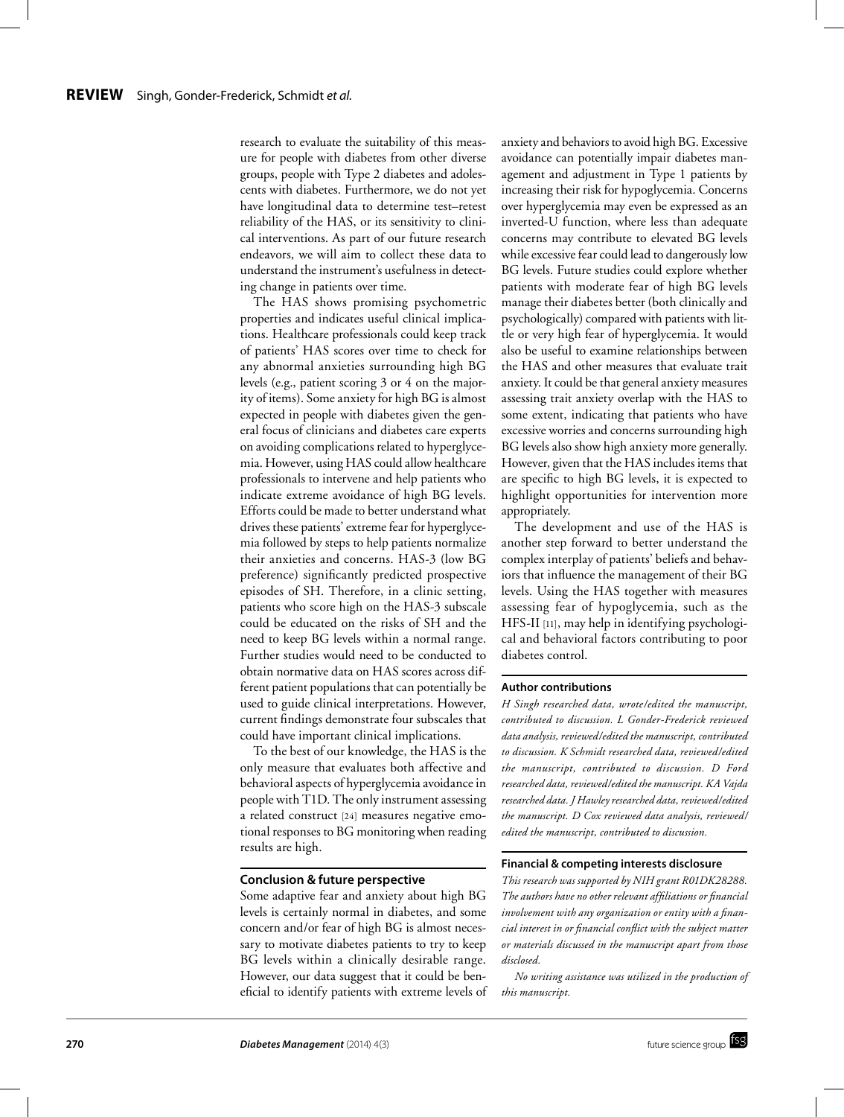research to evaluate the suitability of this measure for people with diabetes from other diverse groups, people with Type 2 diabetes and adolescents with diabetes. Furthermore, we do not yet have longitudinal data to determine test–retest reliability of the HAS, or its sensitivity to clinical interventions. As part of our future research endeavors, we will aim to collect these data to understand the instrument's usefulness in detecting change in patients over time.

The HAS shows promising psychometric properties and indicates useful clinical implications. Healthcare professionals could keep track of patients' HAS scores over time to check for any abnormal anxieties surrounding high BG levels (e.g., patient scoring 3 or 4 on the majority of items). Some anxiety for high BG is almost expected in people with diabetes given the general focus of clinicians and diabetes care experts on avoiding complications related to hyperglycemia. However, using HAS could allow healthcare professionals to intervene and help patients who indicate extreme avoidance of high BG levels. Efforts could be made to better understand what drives these patients' extreme fear for hyperglycemia followed by steps to help patients normalize their anxieties and concerns. HAS-3 (low BG preference) significantly predicted prospective episodes of SH. Therefore, in a clinic setting, patients who score high on the HAS-3 subscale could be educated on the risks of SH and the need to keep BG levels within a normal range. Further studies would need to be conducted to obtain normative data on HAS scores across different patient populations that can potentially be used to guide clinical interpretations. However, current findings demonstrate four subscales that could have important clinical implications.

To the best of our knowledge, the HAS is the only measure that evaluates both affective and behavioral aspects of hyperglycemia avoidance in people with T1D. The only instrument assessing a related construct [24] measures negative emotional responses to BG monitoring when reading results are high.

#### **Conclusion & future perspective**

Some adaptive fear and anxiety about high BG levels is certainly normal in diabetes, and some concern and/or fear of high BG is almost necessary to motivate diabetes patients to try to keep BG levels within a clinically desirable range. However, our data suggest that it could be beneficial to identify patients with extreme levels of anxiety and behaviors to avoid high BG. Excessive avoidance can potentially impair diabetes management and adjustment in Type 1 patients by increasing their risk for hypoglycemia. Concerns over hyperglycemia may even be expressed as an inverted-U function, where less than adequate concerns may contribute to elevated BG levels while excessive fear could lead to dangerously low BG levels. Future studies could explore whether patients with moderate fear of high BG levels manage their diabetes better (both clinically and psychologically) compared with patients with little or very high fear of hyperglycemia. It would also be useful to examine relationships between the HAS and other measures that evaluate trait anxiety. It could be that general anxiety measures assessing trait anxiety overlap with the HAS to some extent, indicating that patients who have excessive worries and concerns surrounding high BG levels also show high anxiety more generally. However, given that the HAS includes items that are specific to high BG levels, it is expected to highlight opportunities for intervention more appropriately.

The development and use of the HAS is another step forward to better understand the complex interplay of patients' beliefs and behaviors that influence the management of their BG levels. Using the HAS together with measures assessing fear of hypoglycemia, such as the HFS-II [11], may help in identifying psychological and behavioral factors contributing to poor diabetes control.

#### **Author contributions**

*H Singh researched data, wrote/edited the manuscript, contributed to discussion. L Gonder-Frederick reviewed data analysis, reviewed/edited the manuscript, contributed to discussion. K Schmidt researched data, reviewed/edited the manuscript, contributed to discussion. D Ford researched data, reviewed/edited the manuscript. KA Vajda researched data. J Hawley researched data, reviewed/edited the manuscript. D Cox reviewed data analysis, reviewed/ edited the manuscript, contributed to discussion.*

#### **Financial & competing interests disclosure**

*This research was supported by NIH grant R01DK28288. The authors have no other relevant affiliations or financial involvement with any organization or entity with a financial interest in or financial conflict with the subject matter or materials discussed in the manuscript apart from those disclosed.*

*No writing assistance was utilized in the production of this manuscript.*